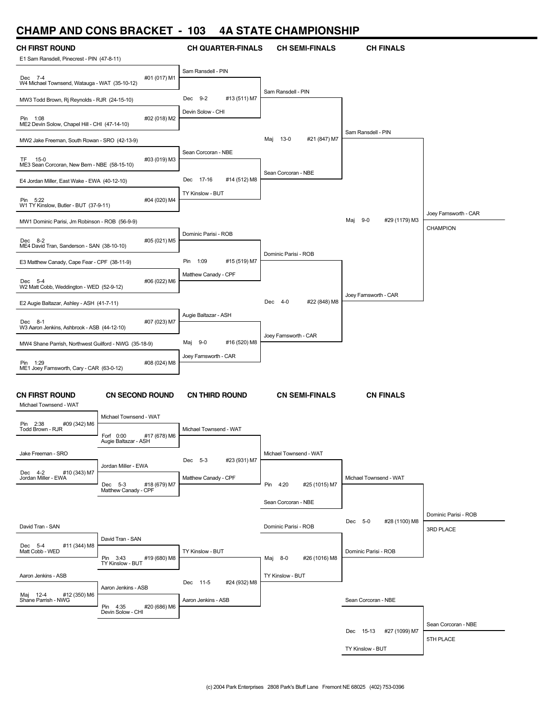### **CHAMP AND CONS BRACKET - 103 4A STATE CHAMPIONSHIP**

| <b>CH FIRST ROUND</b>                                     |                                                   | <b>CH QUARTER-FINALS</b>    | <b>CH SEMI-FINALS</b>     | <b>CH FINALS</b>           |                       |
|-----------------------------------------------------------|---------------------------------------------------|-----------------------------|---------------------------|----------------------------|-----------------------|
| E1 Sam Ransdell, Pinecrest - PIN (47-8-11)                |                                                   |                             |                           |                            |                       |
| Dec 7-4<br>W4 Michael Townsend, Watauga - WAT (35-10-12)  | #01 (017) M1                                      | Sam Ransdell - PIN          |                           |                            |                       |
| MW3 Todd Brown, Rj Reynolds - RJR (24-15-10)              |                                                   | Dec 9-2<br>#13 (511) M7     | Sam Ransdell - PIN        |                            |                       |
| Pin 1:08<br>ME2 Devin Solow, Chapel Hill - CHI (47-14-10) | #02 (018) M2                                      | Devin Solow - CHI           |                           |                            |                       |
| MW2 Jake Freeman, South Rowan - SRO (42-13-9)             |                                                   |                             | Maj 13-0<br>#21 (847) M7  | Sam Ransdell - PIN         |                       |
| TF 15-0<br>ME3 Sean Corcoran, New Bern - NBE (58-15-10)   | #03 (019) M3                                      | Sean Corcoran - NBE         |                           |                            |                       |
| E4 Jordan Miller, East Wake - EWA (40-12-10)              |                                                   | Dec 17-16<br>#14 (512) M8   | Sean Corcoran - NBE       |                            |                       |
| Pin 5:22<br>W1 TY Kinslow, Butler - BUT (37-9-11)         | #04 (020) M4                                      | TY Kinslow - BUT            |                           |                            |                       |
| MW1 Dominic Parisi, Jm Robinson - ROB (56-9-9)            |                                                   |                             |                           | #29 (1179) M3<br>Maj 9-0   | Joey Farnsworth - CAR |
| Dec 8-2<br>ME4 David Tran, Sanderson - SAN (38-10-10)     | #05 (021) M5                                      | Dominic Parisi - ROB        |                           |                            | <b>CHAMPION</b>       |
| E3 Matthew Canady, Cape Fear - CPF (38-11-9)              |                                                   | Pin<br>1:09<br>#15 (519) M7 | Dominic Parisi - ROB      |                            |                       |
| Dec 5-4<br>W2 Matt Cobb, Weddington - WED (52-9-12)       | #06 (022) M6                                      | Matthew Canady - CPF        |                           |                            |                       |
| E2 Augie Baltazar, Ashley - ASH (41-7-11)                 |                                                   |                             | #22 (848) M8<br>Dec 4-0   | Joey Farnsworth - CAR      |                       |
| Dec 8-1<br>W3 Aaron Jenkins, Ashbrook - ASB (44-12-10)    | #07 (023) M7                                      | Augie Baltazar - ASH        |                           |                            |                       |
| MW4 Shane Parrish, Northwest Guilford - NWG (35-18-9)     |                                                   | Maj 9-0<br>#16 (520) M8     | Joey Famsworth - CAR      |                            |                       |
| Pin 1:29                                                  | #08 (024) M8                                      | Joey Farnsworth - CAR       |                           |                            |                       |
| ME1 Joey Farnsworth, Cary - CAR (63-0-12)                 |                                                   |                             |                           |                            |                       |
| <b>CN FIRST ROUND</b><br>Michael Townsend - WAT           | <b>CN SECOND ROUND</b>                            | <b>CN THIRD ROUND</b>       | <b>CN SEMI-FINALS</b>     | <b>CN FINALS</b>           |                       |
| Pin 2:38<br>#09 (342) M6                                  | Michael Townsend - WAT                            |                             |                           |                            |                       |
| Todd Brown - RJR                                          | Forf 0:00<br>#17 (678) M6<br>Augie Baltazar - ASH | Michael Townsend - WAT      |                           |                            |                       |
| Jake Freeman - SRO                                        |                                                   | Dec 5-3<br>#23 (931) M7     | Michael Townsend - WAT    |                            |                       |
| #10 (343) M7<br>Dec 4-2<br>Jordan Miller - EWA            | Jordan Miller - EWA<br>Dec 5-3<br>#18 (679) M7    | Matthew Canady - CPF        | Pin 4:20<br>#25 (1015) M7 | Michael Townsend - WAT     |                       |
|                                                           | Matthew Canady - CPF                              |                             | Sean Corcoran - NBE       |                            |                       |
|                                                           |                                                   |                             |                           |                            | Dominic Parisi - ROB  |
| David Tran - SAN                                          |                                                   |                             | Dominic Parisi - ROB      | Dec 5-0<br>#28 (1100) M8   | <b>3RD PLACE</b>      |
| Dec 5-4<br>Matt Cobb - WED<br>#11 (344) M8                | David Tran - SAN<br>Pin 3:43<br>#19 (680) M8      | TY Kinslow - BUT            | Maj 8-0<br>#26 (1016) M8  | Dominic Parisi - ROB       |                       |
| Aaron Jenkins - ASB                                       | TY Kinslow - BUT                                  | Dec 11-5<br>#24 (932) M8    | TY Kinslow - BUT          |                            |                       |
| Maj 12-4<br>#12 (350) M6<br>Shane Parrish - NWG           | Aaron Jenkins - ASB<br>Pin 4:35<br>#20 (686) M6   | Aaron Jenkins - ASB         |                           | Sean Corcoran - NBE        |                       |
|                                                           | Devin Solow - CHI                                 |                             |                           |                            |                       |
|                                                           |                                                   |                             |                           | Dec 15-13<br>#27 (1099) M7 | Sean Corcoran - NBE   |
|                                                           |                                                   |                             |                           | TY Kinslow - BUT           | 5TH PLACE             |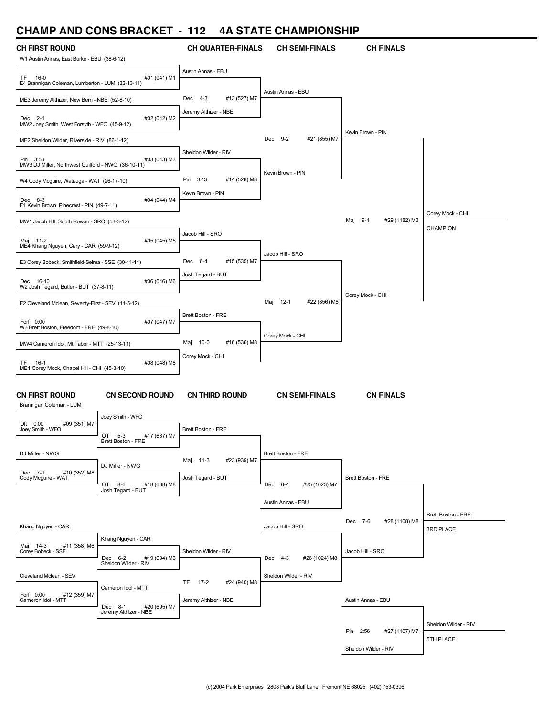### **CHAMP AND CONS BRACKET - 112 4A STATE CHAMPIONSHIP**

| <b>CH FIRST ROUND</b>                                                                               | <b>CH QUARTER-FINALS</b>    | <b>CH SEMI-FINALS</b>         |                           |                                 |
|-----------------------------------------------------------------------------------------------------|-----------------------------|-------------------------------|---------------------------|---------------------------------|
| W1 Austin Annas, East Burke - EBU (38-6-12)                                                         |                             |                               | <b>CH FINALS</b>          |                                 |
| #01 (041) M1<br>TF 16-0<br>E4 Brannigan Coleman, Lumberton - LUM (32-13-11)                         | Austin Annas - EBU          |                               |                           |                                 |
| ME3 Jeremy Althizer, New Bern - NBE (52-8-10)                                                       | Dec 4-3<br>#13 (527) M7     | Austin Annas - EBU            |                           |                                 |
| #02 (042) M2<br>Dec 2-1<br>MW2 Joey Smith, West Forsyth - WFO (45-9-12)                             | Jeremy Althizer - NBE       |                               |                           |                                 |
| ME2 Sheldon Wilder, Riverside - RIV (86-4-12)                                                       |                             | Dec 9-2<br>#21 (855) M7       | Kevin Brown - PIN         |                                 |
| #03 (043) M3<br>Pin 3:53<br>MW3 DJ Miller, Northwest Guilford - NWG (36-10-11)                      | Sheldon Wilder - RIV        |                               |                           |                                 |
| W4 Cody Mcguire, Watauga - WAT (26-17-10)                                                           | Pin<br>3:43<br>#14 (528) M8 | Kevin Brown - PIN             |                           |                                 |
| Dec 8-3<br>#04 (044) M4<br>E1 Kevin Brown, Pinecrest - PIN (49-7-11)                                | Kevin Brown - PIN           |                               |                           |                                 |
| MW1 Jacob Hill, South Rowan - SRO (53-3-12)                                                         |                             |                               | Maj 9-1<br>#29 (1182) M3  | Corey Mock - CHI                |
| Maj 11-2<br>#05 (045) M5<br>ME4 Khang Nguyen, Cary - CAR (59-9-12)                                  | Jacob Hill - SRO            |                               |                           | <b>CHAMPION</b>                 |
| E3 Corey Bobeck, Smithfield-Selma - SSE (30-11-11)                                                  | Dec 6-4<br>#15 (535) M7     | Jacob Hill - SRO              |                           |                                 |
| #06 (046) M6<br>Dec 16-10<br>W2 Josh Tegard, Butler - BUT (37-8-11)                                 | Josh Tegard - BUT           |                               |                           |                                 |
| E2 Cleveland Mclean, Seventy-First - SEV (11-5-12)                                                  |                             | $12-1$<br>#22 (856) M8<br>Maj | Corey Mock - CHI          |                                 |
| #07 (047) M7<br>Forf 0:00<br>W3 Brett Boston, Freedom - FRE (49-8-10)                               | Brett Boston - FRE          |                               |                           |                                 |
| MW4 Cameron Idol, Mt Tabor - MTT (25-13-11)                                                         | Maj 10-0<br>#16 (536) M8    | Corey Mock - CHI              |                           |                                 |
| #08 (048) M8<br>TF.<br>16-1<br>ME1 Corey Mock, Chapel Hill - CHI (45-3-10)                          | Corey Mock - CHI            |                               |                           |                                 |
| <b>CN FIRST ROUND</b><br><b>CN SECOND ROUND</b>                                                     | <b>CN THIRD ROUND</b>       | <b>CN SEMI-FINALS</b>         | <b>CN FINALS</b>          |                                 |
| Brannigan Coleman - LUM<br>Joey Smith - WFO                                                         |                             |                               |                           |                                 |
| #09 (351) M7<br>Dft $0:00$<br>Joey Smith - WFO<br>OT<br>#17 (687) M7<br>$5-3$<br>Brett Boston - FRE | Brett Boston - FRE          |                               |                           |                                 |
| DJ Miller - NWG<br>DJ Miller - NWG                                                                  | #23 (939) M7<br>Maj 11-3    | Brett Boston - FRE            |                           |                                 |
| #10 (352) M8<br>Dec 7-1<br>Cody Mcguire - WAT<br>OT 8-6<br>#18 (688) M8<br>Josh Tegard - BUT        | Josh Tegard - BUT           | Dec 6-4<br>#25 (1023) M7      | Brett Boston - FRE        |                                 |
|                                                                                                     |                             | Austin Annas - EBU            |                           |                                 |
| Khang Nguyen - CAR                                                                                  |                             | Jacob Hill - SRO              | Dec 7-6<br>#28 (1108) M8  | Brett Boston - FRE<br>3RD PLACE |
| Khang Nguyen - CAR<br>#11 (358) M6<br>Maj 14-3<br>Corey Bobeck - SSE<br>Dec 6-2<br>#19 (694) M6     | Sheldon Wilder - RIV        | Dec 4-3<br>#26 (1024) M8      | Jacob Hill - SRO          |                                 |
| Sheldon Wilder - RIV<br>Cleveland Mclean - SEV                                                      | TF 17-2<br>#24 (940) M8     | Sheldon Wilder - RIV          |                           |                                 |
| Cameron Idol - MTT<br>Forf 0:00<br>#12 (359) M7<br>Cameron Idol - MTT<br>Dec 8-1<br>#20 (695) M7    | Jeremy Althizer - NBE       |                               | Austin Annas - EBU        |                                 |
| Jeremy Althizer - NBE                                                                               |                             |                               | #27 (1107) M7<br>Pin 2:56 | Sheldon Wilder - RIV            |
|                                                                                                     |                             |                               | Sheldon Wilder - RIV      | 5TH PLACE                       |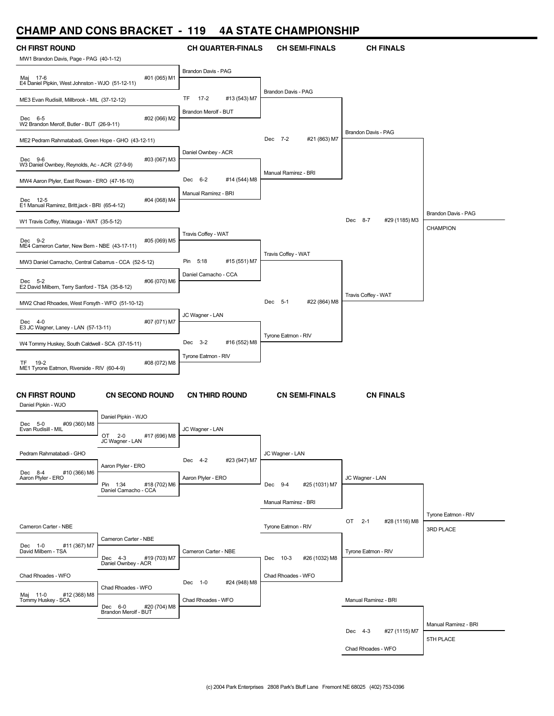### **CHAMP AND CONS BRACKET - 119 4A STATE CHAMPIONSHIP**

| UI IAIVII<br><b>AIV</b>                                    | <u>UUINU PIIMUINE I</u>                                |                              | TA JIAIL VIIAMI IVIIJIIII  |                                |                      |
|------------------------------------------------------------|--------------------------------------------------------|------------------------------|----------------------------|--------------------------------|----------------------|
| <b>CH FIRST ROUND</b>                                      |                                                        | <b>CH QUARTER-FINALS</b>     | <b>CH SEMI-FINALS</b>      | <b>CH FINALS</b>               |                      |
| MW1 Brandon Davis, Page - PAG (40-1-12)                    |                                                        |                              |                            |                                |                      |
| Maj 17-6                                                   | #01 (065) M1                                           | Brandon Davis - PAG          |                            |                                |                      |
| E4 Daniel Pipkin, West Johnston - WJO (51-12-11)           |                                                        |                              | <b>Brandon Davis - PAG</b> |                                |                      |
| ME3 Evan Rudisill, Millbrook - MIL (37-12-12)              |                                                        | TF<br>$17-2$<br>#13 (543) M7 |                            |                                |                      |
| Dec 6-5                                                    | #02 (066) M2                                           | Brandon Merolf - BUT         |                            |                                |                      |
| W2 Brandon Merolf, Butler - BUT (26-9-11)                  |                                                        |                              |                            | <b>Brandon Davis - PAG</b>     |                      |
| ME2 Pedram Rahmatabadi, Green Hope - GHO (43-12-11)        |                                                        |                              | Dec 7-2<br>#21 (863) M7    |                                |                      |
| Dec 9-6                                                    | #03 (067) M3                                           | Daniel Ownbey - ACR          |                            |                                |                      |
| W3 Daniel Ownbey, Reynolds, Ac - ACR (27-9-9)              |                                                        |                              | Manual Ramirez - BRI       |                                |                      |
| MW4 Aaron Plyler, East Rowan - ERO (47-16-10)              |                                                        | Dec 6-2<br>#14 (544) M8      |                            |                                |                      |
| Dec 12-5                                                   | #04 (068) M4                                           | Manual Ramirez - BRI         |                            |                                |                      |
| E1 Manual Ramirez, Britt,jack - BRI (65-4-12)              |                                                        |                              |                            |                                | Brandon Davis - PAG  |
| W1 Travis Coffey, Watauga - WAT (35-5-12)                  |                                                        |                              |                            | Dec 8-7<br>#29 (1185) M3       |                      |
|                                                            |                                                        | Travis Coffey - WAT          |                            |                                | <b>CHAMPION</b>      |
| Dec 9-2<br>ME4 Cameron Carter, New Bern - NBE (43-17-11)   | #05 (069) M5                                           |                              |                            |                                |                      |
| MW3 Daniel Camacho, Central Cabarrus - CCA (52-5-12)       |                                                        | Pin<br>5:18<br>#15 (551) M7  | Travis Coffey - WAT        |                                |                      |
|                                                            |                                                        | Daniel Camacho - CCA         |                            |                                |                      |
| Dec 5-2<br>E2 David Milbern, Terry Sanford - TSA (35-8-12) | #06 (070) M6                                           |                              |                            |                                |                      |
| MW2 Chad Rhoades, West Forsyth - WFO (51-10-12)            |                                                        |                              | Dec 5-1<br>#22 (864) M8    | Travis Coffey - WAT            |                      |
|                                                            |                                                        | JC Wagner - LAN              |                            |                                |                      |
| Dec 4-0<br>E3 JC Wagner, Laney - LAN (57-13-11)            | #07 (071) M7                                           |                              |                            |                                |                      |
| W4 Tommy Huskey, South Caldwell - SCA (37-15-11)           |                                                        | Dec 3-2<br>#16 (552) M8      | Tyrone Eatmon - RIV        |                                |                      |
|                                                            |                                                        | Tyrone Eatmon - RIV          |                            |                                |                      |
| TF.<br>19-2<br>ME1 Tyrone Eatmon, Riverside - RIV (60-4-9) | #08 (072) M8                                           |                              |                            |                                |                      |
|                                                            |                                                        |                              |                            |                                |                      |
| <b>CN FIRST ROUND</b>                                      | <b>CN SECOND ROUND</b>                                 | <b>CN THIRD ROUND</b>        | <b>CN SEMI-FINALS</b>      | <b>CN FINALS</b>               |                      |
| Daniel Pipkin - WJO                                        |                                                        |                              |                            |                                |                      |
| Dec 5-0<br>#09 (360) M8                                    | Daniel Pipkin - WJO                                    |                              |                            |                                |                      |
| Evan Rudisill - MIL                                        | OT<br>$2 - 0$<br>#17 (696) M8                          | JC Wagner - LAN              |                            |                                |                      |
|                                                            | JC Wagner - LAN                                        |                              |                            |                                |                      |
| Pedram Rahmatabadi - GHO                                   |                                                        | #23 (947) M7<br>Dec 4-2      | JC Wagner - LAN            |                                |                      |
| Dec 8-4<br>#10 (366) M6                                    | Aaron Plyler - ERO                                     |                              |                            |                                |                      |
| Aaron Plyler - ERO                                         | Pin 1:34 #18 (<br>Daniel Camacho - CCA<br>#18 (702) M6 | Aaron Plyler - ERO           | Dec 9-4<br>#25 (1031) M7   | JC Wagner - LAN                |                      |
|                                                            |                                                        |                              | Manual Ramirez - BRI       |                                |                      |
|                                                            |                                                        |                              |                            |                                | Tyrone Eatmon - RIV  |
| Cameron Carter - NBE                                       |                                                        |                              | Tyrone Eatmon - RIV        | OT<br>$2 - 1$<br>#28 (1116) M8 | 3RD PLACE            |
|                                                            | Cameron Carter - NBE                                   |                              |                            |                                |                      |
| #11 (367) M7<br>Dec 1-0<br>David Milbern - TSA             |                                                        | Cameron Carter - NBE         |                            | Tyrone Eatmon - RIV            |                      |
|                                                            | #19 (703) M7<br>Dec 4-3<br>Daniel Ownbey - ACR         |                              | Dec 10-3<br>#26 (1032) M8  |                                |                      |
| Chad Rhoades - WFO                                         |                                                        | Dec 1-0<br>#24 (948) M8      | Chad Rhoades - WFO         |                                |                      |
| Maj 11-0<br>#12 (368) M8                                   | Chad Rhoades - WFO                                     |                              |                            |                                |                      |
| Tommy Huskey - SCA                                         | #20 (704) M8<br>Dec 6-0                                | Chad Rhoades - WFO           |                            | Manual Ramirez - BRI           |                      |
|                                                            | Brandon Merolf - BUT                                   |                              |                            |                                |                      |
|                                                            |                                                        |                              |                            | Dec 4-3<br>#27 (1115) M7       | Manual Ramirez - BRI |
|                                                            |                                                        |                              |                            | Chad Rhoades - WFO             | 5TH PLACE            |
|                                                            |                                                        |                              |                            |                                |                      |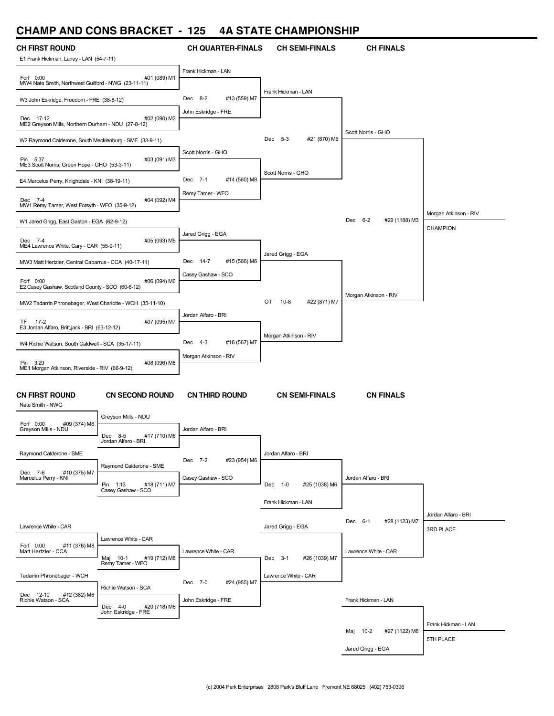### **CHAMP AND CONS BRACKET - 125 4A STATE CHAMPIONSHIP**

| ,,,,,,,,<br><i>r</i> iv                                          | V                                                                             |                          | 78 9181 2018 118 12 13 14  |                           |                       |
|------------------------------------------------------------------|-------------------------------------------------------------------------------|--------------------------|----------------------------|---------------------------|-----------------------|
| <b>CH FIRST ROUND</b><br>E1 Frank Hickman, Laney - LAN (54-7-11) |                                                                               | <b>CH QUARTER-FINALS</b> | <b>CH SEMI-FINALS</b>      | <b>CH FINALS</b>          |                       |
| Forf 0:00<br>MW4 Nate Smith, Northwest Guilford - NWG (23-11-11) | #01 (089) M1                                                                  | Frank Hickman - LAN      |                            |                           |                       |
| W3 John Eskridge, Freedom - FRE (38-8-12)                        |                                                                               | Dec 8-2<br>#13 (559) M7  | Frank Hickman - LAN        |                           |                       |
| Dec 17-12<br>ME2 Greyson Mills, Northern Durham - NDU (27-8-12)  | #02 (090) M2                                                                  | John Eskridge - FRE      |                            |                           |                       |
| W2 Raymond Calderone, South Mecklenburg - SME (33-9-11)          |                                                                               |                          | #21 (870) M6<br>Dec 5-3    | Scott Norris - GHO        |                       |
| Pin 5:37<br>ME3 Scott Norris, Green Hope - GHO (53-3-11)         | #03 (091) M3                                                                  | Scott Norris - GHO       |                            |                           |                       |
| E4 Marcelus Perry, Knightdale - KNI (38-19-11)                   |                                                                               | #14 (560) M8<br>Dec 7-1  | Scott Norris - GHO         |                           |                       |
| Dec 7-4<br>MW1 Remy Tamer, West Forsyth - WFO (35-9-12)          | #04 (092) M4                                                                  | Remy Tamer - WFO         |                            |                           |                       |
| W1 Jared Grigg, East Gaston - EGA (62-9-12)                      |                                                                               |                          |                            | Dec 6-2<br>#29 (1188) M3  | Morgan Atkinson - RIV |
| Dec 7-4<br>ME4 Lawrence White, Cary - CAR (55-9-11)              | #05 (093) M5                                                                  | Jared Grigg - EGA        |                            |                           | <b>CHAMPION</b>       |
| MW3 Matt Hertzler, Central Cabarrus - CCA (40-17-11)             |                                                                               | Dec 14-7<br>#15 (566) M6 | Jared Grigg - EGA          |                           |                       |
| Forf 0:00                                                        | #06 (094) M6                                                                  | Casey Gashaw - SCO       |                            |                           |                       |
| E2 Casey Gashaw, Scotland County - SCO (60-6-12)                 |                                                                               |                          |                            | Morgan Atkinson - RIV     |                       |
| MW2 Tadarrin Phronebager, West Charlotte - WCH (35-11-10)        |                                                                               | Jordan Alfaro - BRI      | #22 (871) M7<br>OT<br>10-8 |                           |                       |
| TF 17-2<br>E3 Jordan Alfaro, Britt,jack - BRI (63-12-12)         | #07 (095) M7                                                                  |                          |                            |                           |                       |
| W4 Richie Watson, South Caldwell - SCA (35-17-11)                |                                                                               | Dec 4-3<br>#16 (567) M7  | Morgan Atkinson - RIV      |                           |                       |
| Pin 3:29<br>ME1 Morgan Atkinson, Riverside - RIV (66-9-12)       | #08 (096) M8                                                                  | Morgan Atkinson - RIV    |                            |                           |                       |
| <b>CN FIRST ROUND</b><br>Nate Smith - NWG                        | <b>CN SECOND ROUND</b><br>Greyson Mills - NDU                                 | <b>CN THIRD ROUND</b>    | <b>CN SEMI-FINALS</b>      | <b>CN FINALS</b>          |                       |
| Forf 0:00<br>#09 (374) M6<br>Greyson Mills - NDU                 | Dec 8-5<br>#17 (710) M6                                                       | Jordan Alfaro - BRI      |                            |                           |                       |
| Raymond Calderone - SME                                          | Jordan Alfaro - BRI                                                           | #23 (954) M6<br>Dec 7-2  | Jordan Alfaro - BRI        |                           |                       |
| #10 (375) M7<br>Dec 7-6<br>Marcelus Perry - KNI                  | Raymond Calderone - SME<br>#18 (711) M7<br>Pin 1:13 #18<br>Casey Gashaw - SCO | Casey Gashaw - SCO       | Dec 1-0<br>#25 (1038) M6   | Jordan Alfaro - BRI       |                       |
|                                                                  |                                                                               |                          | Frank Hickman - LAN        |                           |                       |
|                                                                  |                                                                               |                          |                            |                           | Jordan Alfaro - BRI   |
| Lawrence White - CAR                                             |                                                                               |                          | Jared Grigg - EGA          | #28 (1123) M7<br>Dec 6-1  | 3RD PLACE             |
| #11 (376) M8<br>Forf 0:00<br>Matt Hertzler - CCA                 | Lawrence White - CAR<br>#19 (712) M8<br>Maj 10-1                              | Lawrence White - CAR     | #26 (1039) M7<br>Dec 3-1   | Lawrence White - CAR      |                       |
|                                                                  | Remy Tamer - WFO                                                              |                          |                            |                           |                       |
| Tadarrin Phronebager - WCH<br>#12 (382) M6<br>Dec 12-10          | Richie Watson - SCA                                                           | Dec 7-0<br>#24 (955) M7  | Lawrence White - CAR       |                           |                       |
| Richie Watson - SCA                                              | Dec 4-0<br>#20 (718) M6<br>John Eskridge - FRE                                | John Eskridge - FRE      |                            | Frank Hickman - LAN       |                       |
|                                                                  |                                                                               |                          |                            | Maj 10-2<br>#27 (1122) M6 | Frank Hickman - LAN   |
|                                                                  |                                                                               |                          |                            |                           | 5TH PLACE             |

Jared Grigg - EGA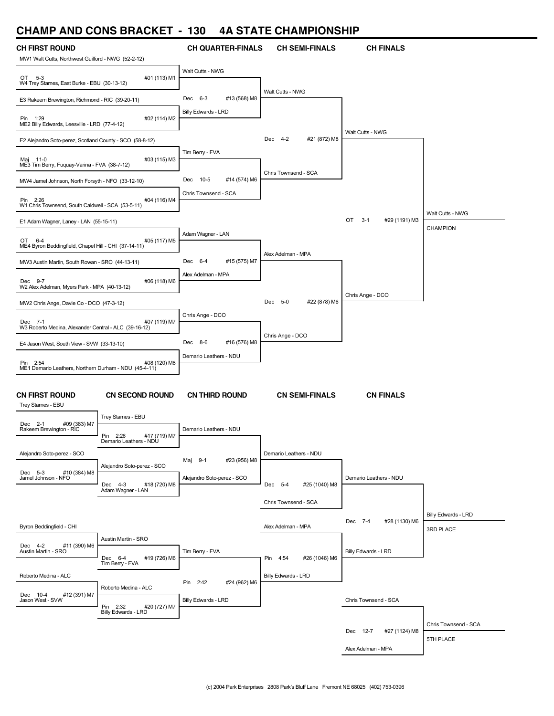### **CHAMP AND CONS BRACKET - 130 4A STATE CHAMPIONSHIP**

| ,,,,,,,,,<br><b>AII</b>                                                     | 9911911791111                                         |                              | TA UTATE UITAINI TURUI III |                                |                                  |
|-----------------------------------------------------------------------------|-------------------------------------------------------|------------------------------|----------------------------|--------------------------------|----------------------------------|
| <b>CH FIRST ROUND</b><br>MW1 Walt Cutts, Northwest Guilford - NWG (52-2-12) |                                                       | <b>CH QUARTER-FINALS</b>     | <b>CH SEMI-FINALS</b>      | <b>CH FINALS</b>               |                                  |
| OT 5-3<br>W4 Trey Starnes, East Burke - EBU (30-13-12)                      | #01 (113) M1                                          | Walt Cutts - NWG             |                            |                                |                                  |
| E3 Rakeem Brewington, Richmond - RIC (39-20-11)                             |                                                       | Dec 6-3<br>#13 (568) M8      | Walt Cutts - NWG           |                                |                                  |
| Pin 1:29<br>ME2 Billy Edwards, Leesville - LRD (77-4-12)                    | #02 (114) M2                                          | Billy Edwards - LRD          |                            |                                |                                  |
| E2 Alejandro Soto-perez, Scotland County - SCO (58-8-12)                    |                                                       |                              | #21 (872) M8<br>Dec 4-2    | Walt Cutts - NWG               |                                  |
| Maj 11-0<br>ME3 Tim Berry, Fuguay-Varina - FVA (38-7-12)                    | #03 (115) M3                                          | Tim Berry - FVA              |                            |                                |                                  |
| MW4 Jamel Johnson, North Forsyth - NFO (33-12-10)                           |                                                       | Dec 10-5<br>#14 (574) M6     | Chris Townsend - SCA       |                                |                                  |
| Pin 2:26<br>W1 Chris Townsend, South Caldwell - SCA (53-5-11)               | #04 (116) M4                                          | Chris Townsend - SCA         |                            |                                |                                  |
| E1 Adam Wagner, Laney - LAN (55-15-11)                                      |                                                       |                              |                            | OT<br>$3 - 1$<br>#29 (1191) M3 | Walt Cutts - NWG                 |
| OT 6-4<br>ME4 Byron Beddingfield, Chapel Hill - CHI (37-14-11)              | #05 (117) M5                                          | Adam Wagner - LAN            |                            |                                | <b>CHAMPION</b>                  |
| MW3 Austin Martin, South Rowan - SRO (44-13-11)                             |                                                       | #15 (575) M7<br>Dec 6-4      | Alex Adelman - MPA         |                                |                                  |
| Dec 9-7<br>W2 Alex Adelman, Myers Park - MPA (40-13-12)                     | #06 (118) M6                                          | Alex Adelman - MPA           |                            |                                |                                  |
| MW2 Chris Ange, Davie Co - DCO (47-3-12)                                    |                                                       |                              | #22 (878) M6<br>Dec 5-0    | Chris Ange - DCO               |                                  |
|                                                                             |                                                       | Chris Ange - DCO             |                            |                                |                                  |
| Dec 7-1<br>W3 Roberto Medina, Alexander Central - ALC (39-16-12)            | #07 (119) M7                                          |                              | Chris Ange - DCO           |                                |                                  |
| E4 Jason West, South View - SVW (33-13-10)                                  |                                                       | Dec 8-6<br>#16 (576) M8      |                            |                                |                                  |
| Pin 2:54<br>ME1 Demario Leathers, Northern Durham - NDU (45-4-11)           | #08 (120) M8                                          | Demario Leathers - NDU       |                            |                                |                                  |
| <b>CN FIRST ROUND</b><br>Trey Starnes - EBU                                 | <b>CN SECOND ROUND</b>                                | <b>CN THIRD ROUND</b>        | <b>CN SEMI-FINALS</b>      | <b>CN FINALS</b>               |                                  |
| #09 (383) M7<br>Dec 2-1                                                     | Trey Starnes - EBU                                    |                              |                            |                                |                                  |
| Rakeem Brewington - RIC                                                     | Pin<br>#17 (719) M7<br>2:26<br>Demario Leathers - NDU | Demario Leathers - NDU       |                            |                                |                                  |
| Alejandro Soto-perez - SCO                                                  | Alejandro Soto-perez - SCO                            | #23 (956) M8<br>$9-1$<br>Maj | Demario Leathers - NDU     |                                |                                  |
| #10 (384) M8<br>Dec 5-3<br>Jamel Johnson - NFO                              |                                                       | Alejandro Soto-perez - SCO   |                            | Demario Leathers - NDU         |                                  |
|                                                                             | Dec 4-3<br>#18 (720) M8<br>Adam Wagner - LAN          |                              | Dec 5-4<br>#25 (1040) M8   |                                |                                  |
|                                                                             |                                                       |                              | Chris Townsend - SCA       |                                |                                  |
| Byron Beddingfield - CHI                                                    |                                                       |                              | Alex Adelman - MPA         | Dec 7-4<br>#28 (1130) M6       | Billy Edwards - LRD<br>3RD PLACE |
| Dec 4-2<br>#11 (390) M6<br>Austin Martin - SRO                              | Austin Martin - SRO<br>Dec 6-4<br>#19 (726) M6        | Tim Berry - FVA              | Pin 4:54<br>#26 (1046) M6  | Billy Edwards - LRD            |                                  |
| Roberto Medina - ALC                                                        | Tim Berry - FVA                                       | Pin<br>2:42<br>#24 (962) M6  | <b>Billy Edwards - LRD</b> |                                |                                  |
| #12 (391) M7<br>Dec 10-4<br>Jason West - SVW                                | Roberto Medina - ALC<br>Pin 2:32<br>#20 (727) M7      | Billy Edwards - LRD          |                            | Chris Townsend - SCA           |                                  |
|                                                                             | Billy Edwards - LRD                                   |                              |                            |                                | Chris Townsend - SCA             |
|                                                                             |                                                       |                              |                            | #27 (1124) M8<br>Dec 12-7      | 5TH PLACE                        |
|                                                                             |                                                       |                              |                            | Alex Adelman - MPA             |                                  |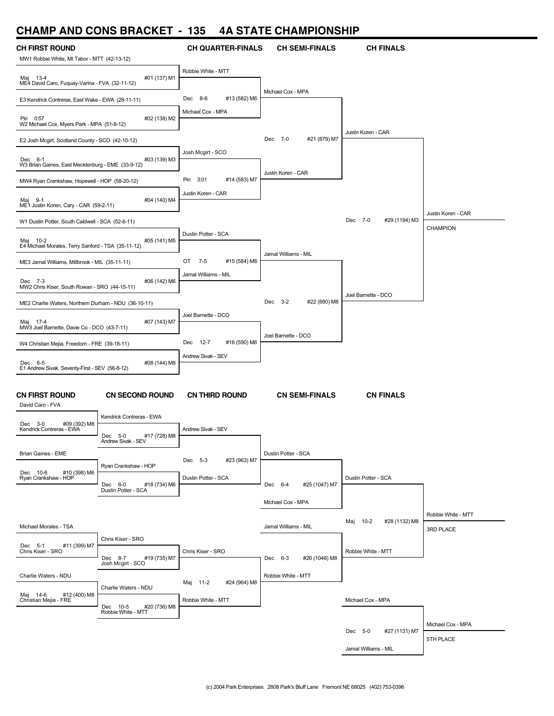### **CHAMP AND CONS BRACKET - 135 4A STATE CHAMPIONSHIP**

| UI IAIVII<br>ANP.                                                    | <b>UUINU PHAVILL</b>                                     |                             |                          |                           |                                 |
|----------------------------------------------------------------------|----------------------------------------------------------|-----------------------------|--------------------------|---------------------------|---------------------------------|
| <b>CH FIRST ROUND</b><br>MW1 Robbie White, Mt Tabor - MTT (42-13-12) |                                                          | <b>CH QUARTER-FINALS</b>    | <b>CH SEMI-FINALS</b>    | <b>CH FINALS</b>          |                                 |
| Maj 13-4<br>ME4 David Caro, Fuquay-Varina - FVA (32-11-12)           | #01 (137) M1                                             | Robbie White - MTT          |                          |                           |                                 |
| E3 Kendrick Contreras, East Wake - EWA (28-11-11)                    |                                                          | Dec 8-6<br>#13 (582) M6     | Michael Cox - MPA        |                           |                                 |
| Pin 0:57<br>W2 Michael Cox, Myers Park - MPA (51-8-12)               | #02 (138) M2                                             | Michael Cox - MPA           |                          |                           |                                 |
| E2 Josh Mcgirt, Scotland County - SCO (42-10-12)                     |                                                          |                             | Dec 7-0<br>#21 (879) M7  | Justin Koren - CAR        |                                 |
| Dec 6-1<br>W3 Brian Gaines, East Mecklenburg - EME (33-9-12)         | #03 (139) M3                                             | Josh Mcgirt - SCO           |                          |                           |                                 |
| MW4 Ryan Crankshaw, Hopewell - HOP (58-20-12)                        |                                                          | Pin<br>3:01<br>#14 (583) M7 | Justin Koren - CAR       |                           |                                 |
| Maj 9-1<br>ME1 Justin Koren, Cary - CAR (59-2-11)                    | #04 (140) M4                                             | Justin Koren - CAR          |                          |                           |                                 |
| W1 Dustin Potter, South Caldwell - SCA (52-6-11)                     |                                                          |                             |                          | Dec 7-0<br>#29 (1194) M3  | Justin Koren - CAR              |
| Maj 10-2<br>E4 Michael Morales, Terry Sanford - TSA (35-11-12)       | #05 (141) M5                                             | Dustin Potter - SCA         |                          |                           | <b>CHAMPION</b>                 |
| ME3 Jamal Williams, Millbrook - MIL (35-11-11)                       |                                                          | OT<br>7-5<br>#15 (584) M8   | Jamal Williams - MIL     |                           |                                 |
| Dec 7-3<br>MW2 Chris Kiser, South Rowan - SRO (44-15-11)             | #06 (142) M6                                             | Jamal Williams - MIL        |                          |                           |                                 |
| ME2 Charlie Waters, Northern Durham - NDU (36-10-11)                 |                                                          |                             | Dec 3-2<br>#22 (880) M8  | Joel Barnette - DCO       |                                 |
| Maj 17-4<br>MW3 Joel Barnette, Davie Co - DCO (43-7-11)              | #07 (143) M7                                             | Joel Barnette - DCO         |                          |                           |                                 |
| W4 Christian Mejia, Freedom - FRE (39-18-11)                         |                                                          | 12-7<br>#16 (590) M6<br>Dec | Joel Barnette - DCO      |                           |                                 |
| Dec 6-5                                                              | #08 (144) M8                                             | Andrew Sivak - SEV          |                          |                           |                                 |
| E1 Andrew Sivak, Seventy-First - SEV (56-8-12)                       |                                                          |                             |                          |                           |                                 |
| <b>CN FIRST ROUND</b><br>David Caro - FVA                            | <b>CN SECOND ROUND</b>                                   | <b>CN THIRD ROUND</b>       | <b>CN SEMI-FINALS</b>    | <b>CN FINALS</b>          |                                 |
| Dec 3-0<br>#09 (392) M8<br>Kendrick Contreras - EWA                  | Kendrick Contreras - EWA<br>Dec<br>$5-0$<br>#17 (728) M8 | Andrew Sivak - SEV          |                          |                           |                                 |
| Brian Gaines - EME                                                   | Andrew Sivak - SEV                                       | Dec 5-3<br>#23 (963) M7     | Dustin Potter - SCA      |                           |                                 |
| #10 (398) M6<br>Dec 10-6<br>Ryan Crankshaw - HOP                     | Ryan Crankshaw - HOP                                     | Dustin Potter - SCA         |                          | Dustin Potter - SCA       |                                 |
|                                                                      | Dec 6-0<br>#18 (734) M6<br>Dustin Potter - SCA           |                             | Dec 6-4<br>#25 (1047) M7 |                           |                                 |
|                                                                      |                                                          |                             | Michael Cox - MPA        |                           |                                 |
| Michael Morales - TSA                                                |                                                          |                             | Jamal Williams - MIL     | Maj 10-2<br>#28 (1132) M8 | Robbie White - MTT<br>3RD PLACE |
| Dec 5-1<br>#11 (399) M7<br>Chris Kiser - SRO                         | Chris Kiser - SRO<br>#19 (735) M7<br>Dec 8-7             | Chris Kiser - SRO           | Dec 6-3<br>#26 (1048) M8 | Robbie White - MTT        |                                 |
| Charlie Waters - NDU                                                 | Josh Mcgirt - SCO                                        | Maj 11-2<br>#24 (964) M8    | Robbie White - MTT       |                           |                                 |
| Maj 14-6 #12<br>Christian Mejia - FRE<br>#12 (400) M8                | Charlie Waters - NDU<br>Dec 10-5<br>#20 (736) M8         | Robbie White - MTT          |                          | Michael Cox - MPA         |                                 |
|                                                                      | Robbie White - MTT                                       |                             |                          | Dec 5-0<br>#27 (1131) M7  | Michael Cox - MPA               |
|                                                                      |                                                          |                             |                          | Jamal Williams - MIL      | 5TH PLACE                       |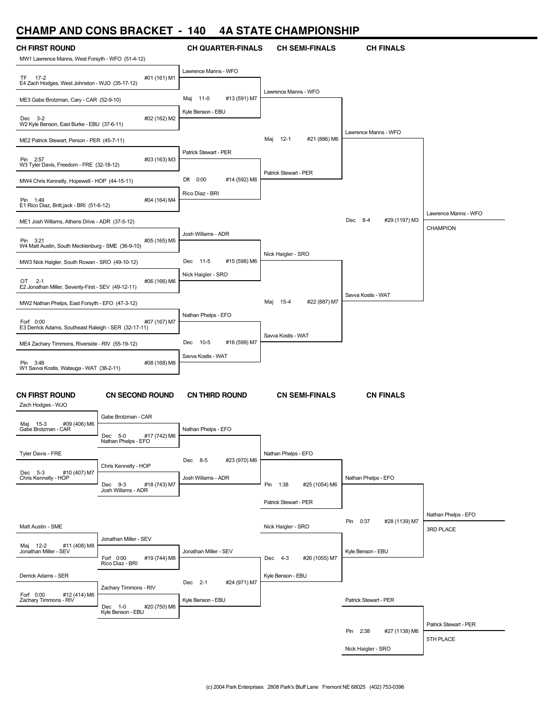### **CHAMP AND CONS BRACKET - 140 4A STATE CHAMPIONSHIP**

| UI IAIVII<br>AN P                                                         | <b>UUINU PHAVILL</b>                           |                          | TA JIAIL VIIAMI IVIIJIII        |                           |                       |
|---------------------------------------------------------------------------|------------------------------------------------|--------------------------|---------------------------------|---------------------------|-----------------------|
| <b>CH FIRST ROUND</b><br>MW1 Lawrence Manns, West Forsyth - WFO (51-4-12) |                                                | <b>CH QUARTER-FINALS</b> | <b>CH SEMI-FINALS</b>           | <b>CH FINALS</b>          |                       |
| TF 17-2<br>E4 Zach Hodges, West Johnston - WJO (35-17-12)                 | #01 (161) M1                                   | Lawrence Manns - WFO     |                                 |                           |                       |
| ME3 Gabe Brotzman, Cary - CAR (52-9-10)                                   |                                                | Maj 11-0<br>#13 (591) M7 | Lawrence Manns - WFO            |                           |                       |
| Dec 3-2<br>W2 Kyle Benson, East Burke - EBU (37-6-11)                     | #02 (162) M2                                   | Kyle Benson - EBU        |                                 |                           |                       |
| ME2 Patrick Stewart, Person - PER (45-7-11)                               |                                                |                          | Maj 12-1<br>#21 (886) M6        | Lawrence Manns - WFO      |                       |
| Pin 2:57<br>W3 Tyler Davis, Freedom - FRE (32-18-12)                      | #03 (163) M3                                   | Patrick Stewart - PER    |                                 |                           |                       |
| MW4 Chris Kennelly, Hopewell - HOP (44-15-11)                             |                                                | Dft 0:00<br>#14 (592) M8 | Patrick Stewart - PER           |                           |                       |
| Pin 1:49<br>E1 Rico Diaz, Britt, jack - BRI (51-6-12)                     | #04 (164) M4                                   | Rico Diaz - BRI          |                                 |                           |                       |
| ME1 Josh Willams, Athens Drive - ADR (37-5-12)                            |                                                |                          |                                 | Dec 8-4<br>#29 (1197) M3  | Lawrence Manns - WFO  |
| Pin 3:21<br>W4 Matt Austin, South Mecklenburg - SME (36-9-10)             | #05 (165) M5                                   | Josh Willams - ADR       |                                 |                           | CHAMPION              |
| MW3 Nick Haigler, South Rowan - SRO (49-10-12)                            |                                                | Dec 11-5<br>#15 (598) M6 | Nick Haigler - SRO              |                           |                       |
| OT<br>$2 - 1$<br>E2 Jonathan Miller, Seventy-First - SEV (49-12-11)       | #06 (166) M6                                   | Nick Haigler - SRO       |                                 |                           |                       |
| MW2 Nathan Phelps, East Forsyth - EFO (47-3-12)                           |                                                |                          | $15 - 4$<br>#22 (887) M7<br>Maj | Savva Kostis - WAT        |                       |
|                                                                           |                                                | Nathan Phelps - EFO      |                                 |                           |                       |
| Forf 0:00<br>E3 Derrick Adams, Southeast Raleigh - SER (32-17-11)         | #07 (167) M7                                   |                          | Savva Kostis - WAT              |                           |                       |
| ME4 Zachary Timmons, Riverside - RIV (55-19-12)                           |                                                | Dec 10-5<br>#16 (599) M7 |                                 |                           |                       |
| Pin 3:48<br>W1 Savva Kostis, Watauga - WAT (38-2-11)                      | #08 (168) M8                                   | Savva Kostis - WAT       |                                 |                           |                       |
|                                                                           |                                                |                          |                                 |                           |                       |
| <b>CN FIRST ROUND</b><br>Zach Hodges - WJO                                | <b>CN SECOND ROUND</b>                         | <b>CN THIRD ROUND</b>    | <b>CN SEMI-FINALS</b>           | <b>CN FINALS</b>          |                       |
| Maj 15-3<br>#09 (406) M6                                                  | Gabe Brotzman - CAR                            |                          |                                 |                           |                       |
| Gabe Brotzman - CAR                                                       | Dec 5-0<br>#17 (742) M6<br>Nathan Phelps - EFO | Nathan Phelps - EFO      |                                 |                           |                       |
| Tyler Davis - FRE                                                         | Chris Kennelly - HOP                           | #23 (970) M6<br>Dec 8-5  | Nathan Phelps - EFO             |                           |                       |
| #10 (407) M7<br>Dec 5-3<br>Chris Kennelly - HOP                           | Dec 9-3<br>#18 (743) M7                        | Josh Willams - ADR       | Pin 1:38<br>#25 (1054) M6       | Nathan Phelps - EFO       |                       |
|                                                                           | Josh Willams - ADR                             |                          | Patrick Stewart - PER           |                           |                       |
|                                                                           |                                                |                          |                                 |                           | Nathan Phelps - EFO   |
| Matt Austin - SME                                                         |                                                |                          | Nick Haigler - SRO              | Pin 0:37<br>#28 (1139) M7 | 3RD PLACE             |
| #11 (408) M8<br>Maj 12-2                                                  | Jonathan Miller - SEV                          |                          |                                 |                           |                       |
| Jonathan Miller - SEV                                                     | Forf 0:00<br>#19 (744) M8<br>Rico Diaz - BRI   | Jonathan Miller - SEV    | Dec 4-3<br>#26 (1055) M7        | Kyle Benson - EBU         |                       |
| Derrick Adams - SER                                                       |                                                |                          | Kyle Benson - EBU               |                           |                       |
| Forf 0:00<br>#12 (414) M6                                                 | Zachary Timmons - RIV                          | Dec 2-1<br>#24 (971) M7  |                                 |                           |                       |
| Zachary Timmons - RIV                                                     | Dec 1-0<br>#20 (750) M6                        | Kyle Benson - EBU        |                                 | Patrick Stewart - PER     |                       |
|                                                                           | Kyle Benson - EBU                              |                          |                                 |                           | Patrick Stewart - PER |
|                                                                           |                                                |                          |                                 | Pin 2:38<br>#27 (1138) M6 | 5TH PLACE             |
|                                                                           |                                                |                          |                                 | Nick Haigler - SRO        |                       |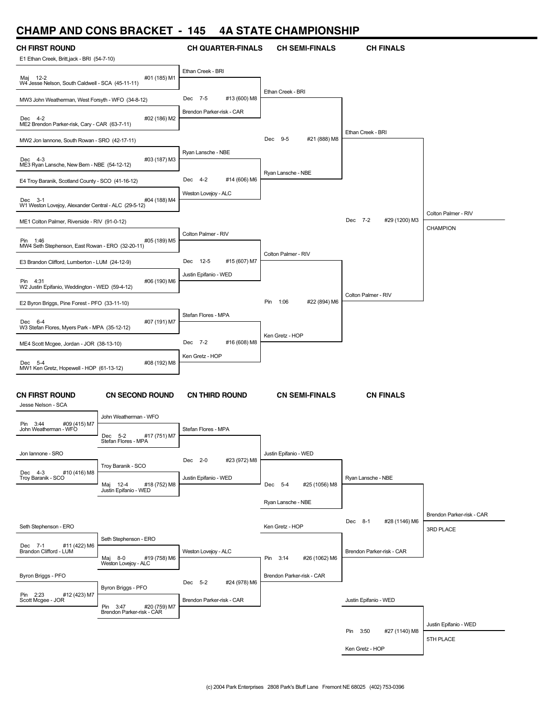### **CHAMP AND CONS BRACKET - 145 4A STATE CHAMPIONSHIP**

| <b>CH FIRST ROUND</b>                                           |                                                       | <b>CH QUARTER-FINALS</b>  | <b>CH SEMI-FINALS</b>     | <b>CH FINALS</b>          |                           |
|-----------------------------------------------------------------|-------------------------------------------------------|---------------------------|---------------------------|---------------------------|---------------------------|
| E1 Ethan Creek, Britt,jack - BRI (54-7-10)                      |                                                       | Ethan Creek - BRI         |                           |                           |                           |
| Maj 12-2<br>W4 Jesse Nelson, South Caldwell - SCA (45-11-11)    | #01 (185) M1                                          |                           |                           |                           |                           |
| MW3 John Weatherman, West Forsyth - WFO (34-8-12)               |                                                       | #13 (600) M8<br>Dec 7-5   | Ethan Creek - BRI         |                           |                           |
| Dec 4-2<br>ME2 Brendon Parker-risk, Cary - CAR (63-7-11)        | #02 (186) M2                                          | Brendon Parker-risk - CAR |                           |                           |                           |
| MW2 Jon lannone, South Rowan - SRO (42-17-11)                   |                                                       |                           | #21 (888) M8<br>Dec 9-5   | Ethan Creek - BRI         |                           |
| Dec 4-3<br>ME3 Ryan Lansche, New Bern - NBE (54-12-12)          | #03 (187) M3                                          | Ryan Lansche - NBE        |                           |                           |                           |
| E4 Troy Baranik, Scotland County - SCO (41-16-12)               |                                                       | Dec 4-2<br>#14 (606) M6   | Ryan Lansche - NBE        |                           |                           |
| Dec 3-1<br>W1 Weston Lovejoy, Alexander Central - ALC (29-5-12) | #04 (188) M4                                          | Weston Lovejoy - ALC      |                           |                           |                           |
| ME1 Colton Palmer, Riverside - RIV (91-0-12)                    |                                                       |                           |                           | Dec 7-2<br>#29 (1200) M3  | Colton Palmer - RIV       |
|                                                                 |                                                       | Colton Palmer - RIV       |                           |                           | CHAMPION                  |
| Pin 1:46<br>MW4 Seth Stephenson, East Rowan - ERO (32-20-11)    | #05 (189) M5                                          |                           | Colton Palmer - RIV       |                           |                           |
| E3 Brandon Clifford, Lumberton - LUM (24-12-9)                  |                                                       | #15 (607) M7<br>Dec 12-5  |                           |                           |                           |
| Pin 4:31<br>W2 Justin Epifanio, Weddington - WED (59-4-12)      | #06 (190) M6                                          | Justin Epifanio - WED     |                           |                           |                           |
| E2 Byron Briggs, Pine Forest - PFO (33-11-10)                   |                                                       |                           | #22 (894) M6<br>Pin 1:06  | Colton Palmer - RIV       |                           |
|                                                                 |                                                       | Stefan Flores - MPA       |                           |                           |                           |
| Dec 6-4<br>W3 Stefan Flores, Myers Park - MPA (35-12-12)        | #07 (191) M7                                          |                           | Ken Gretz - HOP           |                           |                           |
| ME4 Scott Mcgee, Jordan - JOR (38-13-10)                        |                                                       | #16 (608) M8<br>Dec 7-2   |                           |                           |                           |
| Dec 5-4<br>MW1 Ken Gretz, Hopewell - HOP (61-13-12)             | #08 (192) M8                                          | Ken Gretz - HOP           |                           |                           |                           |
|                                                                 |                                                       |                           |                           |                           |                           |
| <b>CN FIRST ROUND</b><br>Jesse Nelson - SCA                     | <b>CN SECOND ROUND</b>                                | <b>CN THIRD ROUND</b>     | <b>CN SEMI-FINALS</b>     | <b>CN FINALS</b>          |                           |
| #09 (415) M7<br>Pin 3:44                                        | John Weatherman - WFO                                 |                           |                           |                           |                           |
| John Weatherman - WFO                                           | #17 (751) M7<br>Dec 5-2<br>Stetan Flores - MPA        | Stefan Flores - MPA       |                           |                           |                           |
| Jon lannone - SRO                                               |                                                       |                           | Justin Epifanio - WED     |                           |                           |
| #10 (416) M8<br>Dec 4-3                                         | Troy Baranik - SCO                                    | Dec 2-0<br>#23 (972) M8   |                           |                           |                           |
| Troy Baranik - SCO                                              | #18 (752) M8<br>Maj 12-4                              | Justin Epifanio - WED     | Dec 5-4<br>#25 (1056) M8  | Ryan Lansche - NBE        |                           |
|                                                                 | Justin Epifanio - WED                                 |                           | Ryan Lansche - NBE        |                           |                           |
|                                                                 |                                                       |                           |                           |                           | Brendon Parker-risk - CAR |
| Seth Stephenson - ERO                                           |                                                       |                           | Ken Gretz - HOP           | Dec 8-1<br>#28 (1146) M6  | 3RD PLACE                 |
| #11 (422) M6<br>Dec 7-1                                         | Seth Stephenson - ERO                                 |                           |                           |                           |                           |
| Brandon Clifford - LUM                                          | Maj 8-0<br>#19 (758) M6<br>Weston Lovejoy - ALC       | Weston Lovejoy - ALC      | Pin 3:14<br>#26 (1062) M6 | Brendon Parker-risk - CAR |                           |
| Byron Briggs - PFO                                              |                                                       |                           | Brendon Parker-risk - CAR |                           |                           |
| Pin 2:23<br>#12 (423) M7                                        | Byron Briggs - PFO                                    | Dec 5-2<br>#24 (978) M6   |                           |                           |                           |
| Scott Mcgee - JOR                                               | Pin 3:47<br>#20 (759) M7<br>Brendon Parker-risk - CAR | Brendon Parker-risk - CAR |                           | Justin Epifanio - WED     |                           |
|                                                                 |                                                       |                           |                           |                           | Justin Epifanio - WED     |
|                                                                 |                                                       |                           |                           | Pin 3:50<br>#27 (1140) M8 | 5TH PLACE                 |
|                                                                 |                                                       |                           |                           | Ken Gretz - HOP           |                           |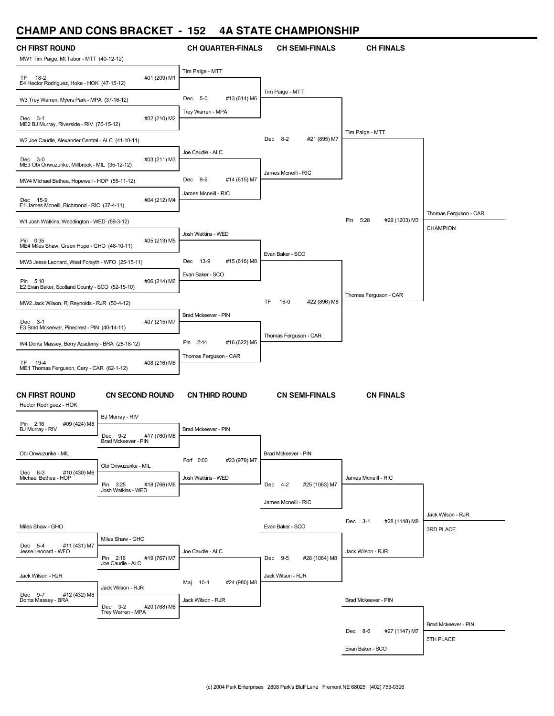# **CHAMP AND CONS BRACKET - 152 4A STATE CHAMPIONSHIP**

| UNAMP AND UUNJ DNAUNET                                    |                                                | $\overline{\phantom{a}}$<br>⊿כו | 4A JIAIE UNAWIMUNJNIM               |                           |                       |
|-----------------------------------------------------------|------------------------------------------------|---------------------------------|-------------------------------------|---------------------------|-----------------------|
| <b>CH FIRST ROUND</b>                                     |                                                | <b>CH QUARTER-FINALS</b>        | <b>CH SEMI-FINALS</b>               | <b>CH FINALS</b>          |                       |
| MW1 Tim Paige, Mt Tabor - MTT (40-12-12)                  |                                                |                                 |                                     |                           |                       |
|                                                           |                                                | Tim Paige - MTT                 |                                     |                           |                       |
| TF 18-2<br>E4 Hector Rodriguez, Hoke - HOK (47-15-12)     | #01 (209) M1                                   |                                 |                                     |                           |                       |
|                                                           |                                                | Dec 5-0<br>#13 (614) M6         | Tim Paige - MTT                     |                           |                       |
| W3 Trey Warren, Myers Park - MPA (37-16-12)               |                                                |                                 |                                     |                           |                       |
| Dec 3-1                                                   | #02 (210) M2                                   | Trey Warren - MPA               |                                     |                           |                       |
| ME2 BJ Murray, Riverside - RIV (76-15-12)                 |                                                |                                 |                                     | Tim Paige - MTT           |                       |
| W2 Joe Caudle, Alexander Central - ALC (41-10-11)         |                                                |                                 | Dec 8-2<br>#21 (895) M7             |                           |                       |
|                                                           |                                                | Joe Caudle - ALC                |                                     |                           |                       |
| Dec 3-0<br>ME3 Obi Onwuzurike, Millbrook - MIL (35-12-12) | #03 (211) M3                                   |                                 |                                     |                           |                       |
|                                                           |                                                | Dec 9-6                         | James Mcneill - RIC                 |                           |                       |
| MW4 Michael Bethea, Hopewell - HOP (55-11-12)             |                                                | #14 (615) M7                    |                                     |                           |                       |
| Dec 15-9                                                  | #04 (212) M4                                   | James Mcneill - RIC             |                                     |                           |                       |
| E1 James Mcneill, Richmond - RIC (37-4-11)                |                                                |                                 |                                     |                           | Thomas Ferguson - CAR |
| W1 Josh Watkins, Weddington - WED (59-3-12)               |                                                |                                 |                                     | Pin 5:28<br>#29 (1203) M3 |                       |
|                                                           |                                                | Josh Watkins - WED              |                                     |                           | CHAMPION              |
| Pin 0:35<br>ME4 Miles Shaw, Green Hope - GHO (48-10-11)   | #05 (213) M5                                   |                                 |                                     |                           |                       |
|                                                           |                                                |                                 | Evan Baker - SCO                    |                           |                       |
| MW3 Jesse Leonard, West Forsyth - WFO (25-15-11)          |                                                | Dec 13-9<br>#15 (616) M8        |                                     |                           |                       |
| Pin 5:10                                                  | #06 (214) M6                                   | Evan Baker - SCO                |                                     |                           |                       |
| E2 Evan Baker, Scotland County - SCO (52-15-10)           |                                                |                                 |                                     | Thomas Ferguson - CAR     |                       |
| MW2 Jack Wilson, Rj Reynolds - RJR (50-4-12)              |                                                |                                 | $16-0$<br>#22 (896) M8<br><b>TF</b> |                           |                       |
|                                                           |                                                | Brad Mckeever - PIN             |                                     |                           |                       |
| Dec 3-1<br>E3 Brad Mckeever, Pinecrest - PIN (40-14-11)   | #07 (215) M7                                   |                                 |                                     |                           |                       |
|                                                           |                                                |                                 | Thomas Ferguson - CAR               |                           |                       |
| W4 Donta Massey, Berry Academy - BRA (28-18-12)           |                                                | #16 (622) M6<br>Pin 2:44        |                                     |                           |                       |
| TF<br>19-4                                                | #08 (216) M8                                   | Thomas Ferguson - CAR           |                                     |                           |                       |
| ME1 Thomas Ferguson, Cary - CAR (62-1-12)                 |                                                |                                 |                                     |                           |                       |
|                                                           |                                                |                                 |                                     |                           |                       |
| <b>CN FIRST ROUND</b>                                     | <b>CN SECOND ROUND</b>                         | <b>CN THIRD ROUND</b>           | <b>CN SEMI-FINALS</b>               | <b>CN FINALS</b>          |                       |
| Hector Rodriguez - HOK                                    |                                                |                                 |                                     |                           |                       |
|                                                           | BJ Murray - RIV                                |                                 |                                     |                           |                       |
| #09 (424) M8<br>Pin 2:16<br>BJ Murray - RIV               |                                                | Brad Mckeever - PIN             |                                     |                           |                       |
|                                                           | Dec 9-2<br>#17 (760) M8<br>Brad Mckeever - PIN |                                 |                                     |                           |                       |
| Obi Onwuzurike - MIL                                      |                                                |                                 | Brad Mckeever - PIN                 |                           |                       |
|                                                           | Obi Onwuzurike - MIL                           | Forf 0:00<br>#23 (979) M7       |                                     |                           |                       |
| Dec 6-3<br>#10 (430) M6<br>Michael Bethea - HOP           |                                                | Josh Watkins - WED              |                                     | James Mcneill - RIC       |                       |
|                                                           | Pin 3:25<br>#18 (766) M6<br>Josh Watkins - WED |                                 | Dec 4-2<br>#25 (1063) M7            |                           |                       |
|                                                           |                                                |                                 | James Mcneill - RIC                 |                           |                       |
|                                                           |                                                |                                 |                                     |                           | Jack Wilson - RJR     |
| Miles Shaw - GHO                                          |                                                |                                 | Evan Baker - SCO                    | Dec 3-1<br>#28 (1148) M8  |                       |
|                                                           | Miles Shaw - GHO                               |                                 |                                     |                           | 3RD PLACE             |
| #11 (431) M7<br>Dec 5-4<br>Jesse Leonard - WFO            |                                                | Joe Caudle - ALC                |                                     | Jack Wilson - RJR         |                       |
|                                                           | Pin 2:16<br>#19 (767) M7                       |                                 | Dec 9-5<br>#26 (1064) M8            |                           |                       |
|                                                           | Joe Caudle - ALC                               |                                 |                                     |                           |                       |
| Jack Wilson - RJR                                         |                                                | Maj 10-1<br>#24 (980) M8        | Jack Wilson - RJR                   |                           |                       |
| Dec 9-7<br>#12 (432) M8                                   | Jack Wilson - RJR                              |                                 |                                     |                           |                       |
| Donta Massey - BRA                                        | Dec 3-2<br>#20 (768) M8                        | Jack Wilson - RJR               |                                     | Brad Mckeever - PIN       |                       |
|                                                           | Trey Warren - MPA                              |                                 |                                     |                           |                       |
|                                                           |                                                |                                 |                                     | Dec 8-6<br>#27 (1147) M7  | Brad Mckeever - PIN   |
|                                                           |                                                |                                 |                                     |                           | 5TH PLACE             |
|                                                           |                                                |                                 |                                     | Evan Baker - SCO          |                       |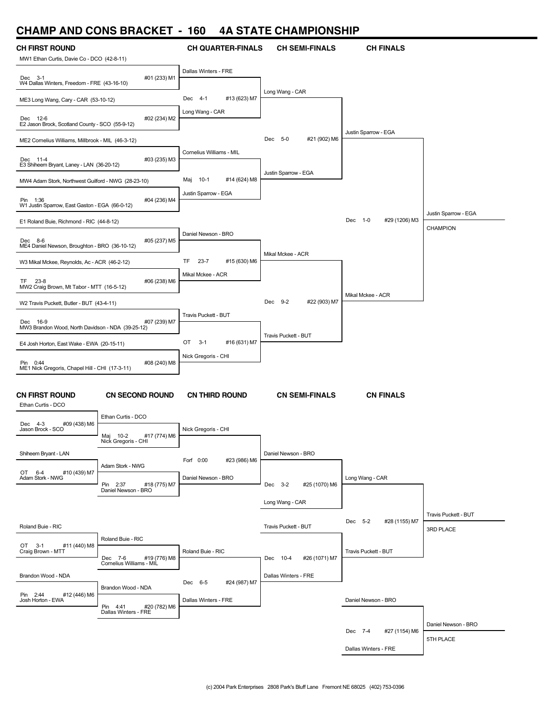### **CHAMP AND CONS BRACKET - 160 4A STATE CHAMPIONSHIP**

| UI IAIVII<br><b>AIV</b>                                             | <b>UUINU PHAVILL</b>                            |                                | TA JIAIL VIIAMI IVIIJIII  |                          |                                   |
|---------------------------------------------------------------------|-------------------------------------------------|--------------------------------|---------------------------|--------------------------|-----------------------------------|
| <b>CH FIRST ROUND</b><br>MW1 Ethan Curtis, Davie Co - DCO (42-8-11) |                                                 | <b>CH QUARTER-FINALS</b>       | <b>CH SEMI-FINALS</b>     | <b>CH FINALS</b>         |                                   |
| Dec 3-1<br>W4 Dallas Winters, Freedom - FRE (43-16-10)              | #01 (233) M1                                    | Dallas Winters - FRE           |                           |                          |                                   |
| ME3 Long Wang, Cary - CAR (53-10-12)                                |                                                 | Dec 4-1<br>#13 (623) M7        | Long Wang - CAR           |                          |                                   |
| Dec 12-6<br>E2 Jason Brock, Scotland County - SCO (55-9-12)         | #02 (234) M2                                    | Long Wang - CAR                |                           |                          |                                   |
| ME2 Cornelius Williams, Millbrook - MIL (46-3-12)                   |                                                 |                                | Dec 5-0<br>#21 (902) M6   | Justin Sparrow - EGA     |                                   |
| Dec 11-4<br>E3 Shiheem Bryant, Laney - LAN (36-20-12)               | #03 (235) M3                                    | Cornelius Williams - MIL       |                           |                          |                                   |
| MW4 Adam Stork, Northwest Guilford - NWG (28-23-10)                 |                                                 | Maj 10-1<br>#14 (624) M8       | Justin Sparrow - EGA      |                          |                                   |
| Pin 1:36<br>W1 Justin Sparrow, East Gaston - EGA (66-0-12)          | #04 (236) M4                                    | Justin Sparrow - EGA           |                           |                          |                                   |
| E1 Roland Buie, Richmond - RIC (44-8-12)                            |                                                 |                                |                           | Dec 1-0<br>#29 (1206) M3 | Justin Sparrow - EGA              |
| Dec 8-6<br>ME4 Daniel Newson, Broughton - BRO (36-10-12)            | #05 (237) M5                                    | Daniel Newson - BRO            |                           |                          | <b>CHAMPION</b>                   |
| W3 Mikal Mckee, Reynolds, Ac - ACR (46-2-12)                        |                                                 | TF<br>$23 - 7$<br>#15 (630) M6 | Mikal Mckee - ACR         |                          |                                   |
| TF.<br>23-8<br>MW2 Craig Brown, Mt Tabor - MTT (16-5-12)            | #06 (238) M6                                    | Mikal Mckee - ACR              |                           |                          |                                   |
| W2 Travis Puckett, Butler - BUT (43-4-11)                           |                                                 |                                | Dec 9-2<br>#22 (903) M7   | Mikal Mckee - ACR        |                                   |
| Dec 16-9<br>MW3 Brandon Wood, North Davidson - NDA (39-25-12)       | #07 (239) M7                                    | Travis Puckett - BUT           |                           |                          |                                   |
| E4 Josh Horton, East Wake - EWA (20-15-11)                          |                                                 | OT<br>$3-1$<br>#16 (631) M7    | Travis Puckett - BUT      |                          |                                   |
| Pin 0:44<br>ME1 Nick Gregoris, Chapel Hill - CHI (17-3-11)          | #08 (240) M8                                    | Nick Gregoris - CHI            |                           |                          |                                   |
| <b>CN FIRST ROUND</b><br>Ethan Curtis - DCO                         | <b>CN SECOND ROUND</b>                          | <b>CN THIRD ROUND</b>          | <b>CN SEMI-FINALS</b>     | <b>CN FINALS</b>         |                                   |
| Dec 4-3<br>#09 (438) M6                                             | Ethan Curtis - DCO                              |                                |                           |                          |                                   |
| Jason Brock - SCO                                                   | Maj 10-2<br>#17 (774) M6<br>Nick Gregoris - CHI | Nick Gregoris - CHI            |                           |                          |                                   |
| Shiheem Bryant - LAN                                                | Adam Stork - NWG                                | Forf 0:00<br>#23 (986) M6      | Daniel Newson - BRO       |                          |                                   |
| OT 6-4<br>#10 (439) M7<br>Adam Stork - NWG                          | Pin 2:37<br>#18 (775) M7<br>Daniel Newson - BRO | Daniel Newson - BRO            | Dec 3-2<br>#25 (1070) M6  | Long Wang - CAR          |                                   |
|                                                                     |                                                 |                                | Long Wang - CAR           |                          |                                   |
| Roland Buie - RIC                                                   |                                                 |                                | Travis Puckett - BUT      | Dec 5-2<br>#28 (1155) M7 | Travis Puckett - BUT<br>3RD PLACE |
| #11 (440) M8<br>OT 3-1<br>Craig Brown - MTT                         | Roland Buie - RIC<br>#19 (776) M8<br>Dec 7-6    | Roland Buie - RIC              | Dec 10-4<br>#26 (1071) M7 | Travis Puckett - BUT     |                                   |
| Brandon Wood - NDA                                                  | Cornelius Williams - MIL                        | Dec 6-5<br>#24 (987) M7        | Dallas Winters - FRE      |                          |                                   |
| Pin 2:44<br>#12 (446) M6<br>Josh Horton - EWA                       | Brandon Wood - NDA<br>Pin 4:41<br>#20 (782) M6  | Dallas Winters - FRE           |                           | Daniel Newson - BRO      |                                   |
|                                                                     | Dallas Winters - FRE                            |                                |                           |                          | Daniel Newson - BRO               |
|                                                                     |                                                 |                                |                           | Dec 7-4<br>#27 (1154) M6 | 5TH PLACE                         |
|                                                                     |                                                 |                                |                           | Dallas Winters - FRE     |                                   |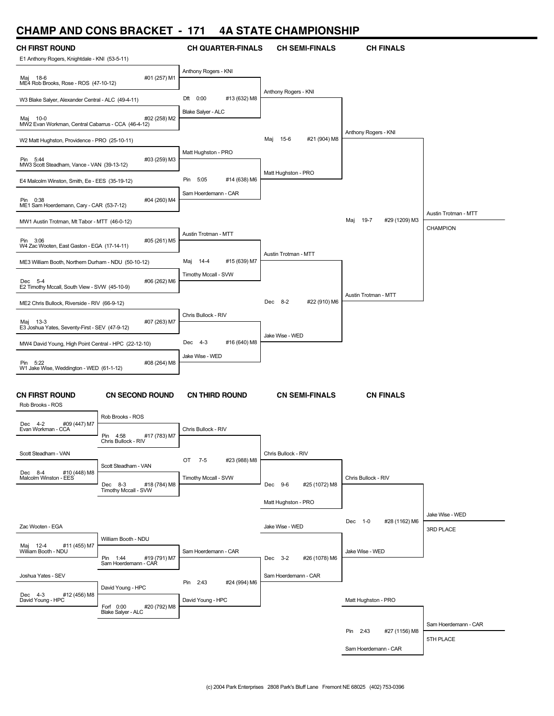# **CHAMP AND CONS BRACKET - 171 4A STATE CHAMPIONSHIP**

| UNAIWIF AIND UUNJ DNAUNEI                                      |                                                     | - 171                                               | 4A J I A I E UNAMPIUNJNIF |                              |                      |
|----------------------------------------------------------------|-----------------------------------------------------|-----------------------------------------------------|---------------------------|------------------------------|----------------------|
| <b>CH FIRST ROUND</b>                                          |                                                     | <b>CH QUARTER-FINALS</b>                            | <b>CH SEMI-FINALS</b>     | <b>CH FINALS</b>             |                      |
| E1 Anthony Rogers, Knightdale - KNI (53-5-11)                  |                                                     | Anthony Rogers - KNI                                |                           |                              |                      |
| Maj 18-6<br>ME4 Rob Brooks, Rose - ROS (47-10-12)              | #01 (257) M1                                        |                                                     |                           |                              |                      |
| W3 Blake Salyer, Alexander Central - ALC (49-4-11)             |                                                     | Dft 0:00<br>#13 (632) M8                            | Anthony Rogers - KNI      |                              |                      |
|                                                                |                                                     | Blake Salyer - ALC                                  |                           |                              |                      |
| Maj 10-0<br>MW2 Evan Workman, Central Cabarrus - CCA (46-4-12) | #02 (258) M2                                        |                                                     |                           |                              |                      |
| W2 Matt Hughston, Providence - PRO (25-10-11)                  |                                                     |                                                     | Maj 15-6<br>#21 (904) M8  | Anthony Rogers - KNI         |                      |
| Pin 5:44                                                       | #03 (259) M3                                        | Matt Hughston - PRO                                 |                           |                              |                      |
| MW3 Scott Steadham, Vance - VAN (39-13-12)                     |                                                     |                                                     | Matt Hughston - PRO       |                              |                      |
| E4 Malcolm Winston, Smith, Ee - EES (35-19-12)                 |                                                     | 5:05<br>#14 (638) M6<br>Pin<br>Sam Hoerdemann - CAR |                           |                              |                      |
| Pin 0:38<br>ME1 Sam Hoerdemann, Cary - CAR (53-7-12)           | #04 (260) M4                                        |                                                     |                           |                              |                      |
| MW1 Austin Trotman, Mt Tabor - MTT (46-0-12)                   |                                                     |                                                     |                           | Maj<br>19-7<br>#29 (1209) M3 | Austin Trotman - MTT |
|                                                                |                                                     | Austin Trotman - MTT                                |                           |                              | CHAMPION             |
| Pin 3:06<br>W4 Zac Wooten, East Gaston - EGA (17-14-11)        | #05 (261) M5                                        |                                                     | Austin Trotman - MTT      |                              |                      |
| ME3 William Booth, Northern Durham - NDU (50-10-12)            |                                                     | Maj 14-4<br>#15 (639) M7                            |                           |                              |                      |
| Dec 5-4                                                        | #06 (262) M6                                        | Timothy Mccall - SVW                                |                           |                              |                      |
| E2 Timothy Mccall, South View - SVW (45-10-9)                  |                                                     |                                                     |                           | Austin Trotman - MTT         |                      |
| ME2 Chris Bullock, Riverside - RIV (66-9-12)                   |                                                     | Chris Bullock - RIV                                 | Dec 8-2<br>#22 (910) M6   |                              |                      |
| Maj 13-3<br>E3 Joshua Yates, Seventy-First - SEV (47-9-12)     | #07 (263) M7                                        |                                                     |                           |                              |                      |
| MW4 David Young, High Point Central - HPC (22-12-10)           |                                                     | Dec 4-3<br>#16 (640) M8                             | Jake Wise - WED           |                              |                      |
|                                                                |                                                     | Jake Wise - WED                                     |                           |                              |                      |
| Pin 5:22<br>W1 Jake Wise, Weddington - WED (61-1-12)           | #08 (264) M8                                        |                                                     |                           |                              |                      |
|                                                                |                                                     |                                                     |                           |                              |                      |
| <b>CN FIRST ROUND</b><br>Rob Brooks - ROS                      | <b>CN SECOND ROUND</b>                              | <b>CN THIRD ROUND</b>                               | <b>CN SEMI-FINALS</b>     | <b>CN FINALS</b>             |                      |
|                                                                | Rob Brooks - ROS                                    |                                                     |                           |                              |                      |
| Dec 4-2<br>#09 (447) M7<br>Evan Workman - CCA                  |                                                     | Chris Bullock - RIV                                 |                           |                              |                      |
|                                                                | Pin 4:58<br>#17 (783) M7<br>Chris Bullock - RIV     |                                                     |                           |                              |                      |
| Scott Steadham - VAN                                           | Scott Steadham - VAN                                | OT 7-5<br>#23 (988) M8                              | Chris Bullock - RIV       |                              |                      |
| #10 (448) M8<br>Dec 8-4 #10 (<br>Malcolm Winston - EES         |                                                     | Timothy Mccall - SVW                                |                           | Chris Bullock - RIV          |                      |
|                                                                | Dec 8-3 #18<br>Timothy Mccall - SVW<br>#18 (784) M8 |                                                     | Dec 9-6<br>#25 (1072) M8  |                              |                      |
|                                                                |                                                     |                                                     | Matt Hughston - PRO       |                              |                      |
| Zac Wooten - EGA                                               |                                                     |                                                     | Jake Wise - WED           | Dec 1-0<br>#28 (1162) M6     | Jake Wise - WED      |
|                                                                | William Booth - NDU                                 |                                                     |                           |                              | 3RD PLACE            |
| Maj 12-4<br>#11 (455) M7<br>William Booth - NDU                |                                                     | Sam Hoerdemann - CAR                                |                           | Jake Wise - WED              |                      |
|                                                                | #19 (791) M7<br>Pin 1:44<br>Sam Hoerdemann - CAR    |                                                     | Dec 3-2<br>#26 (1078) M6  |                              |                      |
| Joshua Yates - SEV                                             |                                                     | Pin 2:43<br>#24 (994) M6                            | Sam Hoerdemann - CAR      |                              |                      |
| Dec 4-3<br>#12 (456) M8<br>David Young - HPC                   | David Young - HPC                                   | David Young - HPC                                   |                           | Matt Hughston - PRO          |                      |
|                                                                | Forf 0:00<br>#20 (792) M8<br>Blake Salyer - ALC     |                                                     |                           |                              |                      |
|                                                                |                                                     |                                                     |                           | Pin 2:43<br>#27 (1156) M8    | Sam Hoerdemann - CAR |
|                                                                |                                                     |                                                     |                           |                              | 5TH PLACE            |
|                                                                |                                                     |                                                     |                           | Sam Hoerdemann - CAR         |                      |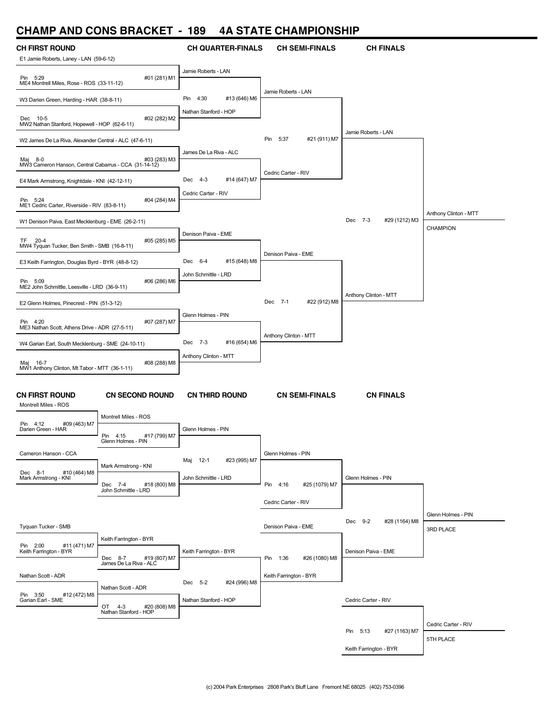# **CHAMP AND CONS BRACKET - 189 4A STATE CHAMPIONSHIP**

|                                                                     | <b>CHAMP AND CONS BRACKET - 189</b>             |                                | 4A STATE CHAMPIONSHIP     |                           |                       |
|---------------------------------------------------------------------|-------------------------------------------------|--------------------------------|---------------------------|---------------------------|-----------------------|
| CH FIRST ROUND                                                      |                                                 | <b>CH QUARTER-FINALS</b>       | <b>CH SEMI-FINALS</b>     | <b>CH FINALS</b>          |                       |
| E1 Jamie Roberts, Laney - LAN (59-6-12)                             |                                                 |                                |                           |                           |                       |
| Pin 5:29                                                            | #01 (281) M1                                    | Jamie Roberts - LAN            |                           |                           |                       |
| ME4 Montrell Miles, Rose - ROS (33-11-12)                           |                                                 |                                | Jamie Roberts - LAN       |                           |                       |
| W3 Darien Green, Harding - HAR (38-8-11)                            |                                                 | Pin<br>4:30<br>#13 (646) M6    |                           |                           |                       |
| Dec 10-5<br>MW2 Nathan Stanford, Hopewell - HOP (62-6-11)           | #02 (282) M2                                    | Nathan Stanford - HOP          |                           |                           |                       |
|                                                                     |                                                 |                                | Pin 5:37                  | Jamie Roberts - LAN       |                       |
| W2 James De La Riva, Alexander Central - ALC (47-6-11)              |                                                 | James De La Riva - ALC         | #21 (911) M7              |                           |                       |
| Мај<br>8-0<br>MW3 Cameron Hanson, Central Cabarrus - CCA (31-14-12) | #03 (283) M3                                    |                                |                           |                           |                       |
| E4 Mark Armstrong, Knightdale - KNI (42-12-11)                      |                                                 | Dec 4-3<br>#14 (647) M7        | Cedric Carter - RIV       |                           |                       |
|                                                                     |                                                 | Cedric Carter - RIV            |                           |                           |                       |
| Pin 5:24<br>ME1 Cedric Carter, Riverside - RIV (83-8-11)            | #04 (284) M4                                    |                                |                           |                           |                       |
| W1 Denison Paiva, East Mecklenburg - EME (26-2-11)                  |                                                 |                                |                           | Dec 7-3<br>#29 (1212) M3  | Anthony Clinton - MTT |
|                                                                     |                                                 | Denison Paiva - EME            |                           |                           | CHAMPION              |
| TF 20-4<br>MW4 Tyquan Tucker, Ben Smith - SMB (16-8-11)             | #05 (285) M5                                    |                                |                           |                           |                       |
| E3 Keith Farrington, Douglas Byrd - BYR (48-8-12)                   |                                                 | $6 - 4$<br>#15 (648) M8<br>Dec | Denison Paiva - EME       |                           |                       |
|                                                                     |                                                 | John Schmittle - LRD           |                           |                           |                       |
| Pin 5:09<br>ME2 John Schmittle, Leesville - LRD (36-9-11)           | #06 (286) M6                                    |                                |                           |                           |                       |
| E2 Glenn Holmes, Pinecrest - PIN (51-3-12)                          |                                                 |                                | Dec 7-1<br>#22 (912) M8   | Anthony Clinton - MTT     |                       |
|                                                                     |                                                 | Glenn Holmes - PIN             |                           |                           |                       |
| Pin 4:20<br>ME3 Nathan Scott, Athens Drive - ADR (27-5-11)          | #07 (287) M7                                    |                                |                           |                           |                       |
| W4 Garian Earl, South Mecklenburg - SME (24-10-11)                  |                                                 | Dec 7-3<br>#16 (654) M6        | Anthony Clinton - MTT     |                           |                       |
|                                                                     |                                                 | Anthony Clinton - MTT          |                           |                           |                       |
| Maj 16-7<br>MW1 Anthony Clinton, Mt Tabor - MTT (36-1-11)           | #08 (288) M8                                    |                                |                           |                           |                       |
|                                                                     |                                                 |                                |                           |                           |                       |
| CN FIRST ROUND                                                      | <b>CN SECOND ROUND</b>                          | <b>CN THIRD ROUND</b>          | <b>CN SEMI-FINALS</b>     | <b>CN FINALS</b>          |                       |
| Montrell Miles - ROS                                                | Montrell Miles - ROS                            |                                |                           |                           |                       |
| Pin 4:12<br>#09 (463) M7<br>Darien Green - HAR                      |                                                 | Glenn Holmes - PIN             |                           |                           |                       |
|                                                                     | #17 (799) M7<br>Pin 4:15<br>Glenn Holmes - PIN  |                                |                           |                           |                       |
| Cameron Hanson - CCA                                                |                                                 |                                | Glenn Holmes - PIN        |                           |                       |
| Dec 8-1<br>#10 (464) M8                                             | Mark Armstrong - KNI                            | Maj 12-1<br>#23 (995) M7       |                           |                           |                       |
| Mark Armstrong - KNI                                                | Dec 7-4<br>#18 (800) M8                         | John Schmittle - LRD           | Pin 4:16<br>#25 (1079) M7 | Glenn Holmes - PIN        |                       |
|                                                                     | John Schmittle - LRD                            |                                |                           |                           |                       |
|                                                                     |                                                 |                                | Cedric Carter - RIV       |                           | Glenn Holmes - PIN    |
| Tyguan Tucker - SMB                                                 |                                                 |                                | Denison Paiva - EME       | Dec 9-2<br>#28 (1164) M8  | 3RD PLACE             |
|                                                                     | Keith Farrington - BYR                          |                                |                           |                           |                       |
| Pin 2:00<br>#11 (471) M7<br>Keith Farrington - BYR                  | Dec 8-7<br>#19 (807) M7                         | Keith Farrington - BYR         | Pin 1:36<br>#26 (1080) M8 | Denison Paiva - EME       |                       |
|                                                                     | James De La Riva - ALC                          |                                |                           |                           |                       |
| Nathan Scott - ADR                                                  |                                                 | Dec 5-2<br>#24 (996) M8        | Keith Farrington - BYR    |                           |                       |
| Pin 3:50<br>#12 (472) M8                                            | Nathan Scott - ADR                              | Nathan Stanford - HOP          |                           | Cedric Carter - RIV       |                       |
| Garian Earl - SME                                                   | OT 4-3<br>#20 (808) M8<br>Nathan Stanford - HOP |                                |                           |                           |                       |
|                                                                     |                                                 |                                |                           |                           | Cedric Carter - RIV   |
|                                                                     |                                                 |                                |                           | Pin 5:13<br>#27 (1163) M7 | 5TH PLACE             |
|                                                                     |                                                 |                                |                           | Keith Farrington - BYR    |                       |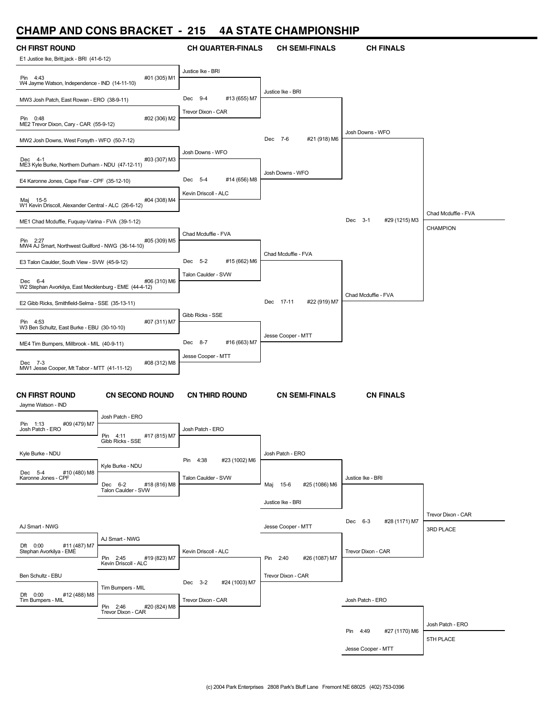### **CHAMP AND CONS BRACKET - 215 4A STATE CHAMPIONSHIP**

| <b>CH FIRST ROUND</b><br>E1 Justice Ike, Britt,jack - BRI (41-6-12)               |                                               | <b>CH QUARTER-FINALS</b>                      | <b>CH SEMI-FINALS</b>     | <b>CH FINALS</b>          |                                 |
|-----------------------------------------------------------------------------------|-----------------------------------------------|-----------------------------------------------|---------------------------|---------------------------|---------------------------------|
| Pin 4:43<br>#01 (305) M1                                                          |                                               | Justice Ike - BRI                             |                           |                           |                                 |
| W4 Jayme Watson, Independence - IND (14-11-10)                                    |                                               |                                               | Justice Ike - BRI         |                           |                                 |
| MW3 Josh Patch, East Rowan - ERO (38-9-11)                                        |                                               | Dec 9-4<br>#13 (655) M7<br>Trevor Dixon - CAR |                           |                           |                                 |
| #02 (306) M2<br>Pin 0:48<br>ME2 Trevor Dixon, Cary - CAR (55-9-12)                |                                               |                                               |                           |                           |                                 |
| MW2 Josh Downs, West Forsyth - WFO (50-7-12)                                      |                                               |                                               | Dec 7-6<br>#21 (918) M6   | Josh Downs - WFO          |                                 |
| #03 (307) M3<br>Dec 4-1<br>ME3 Kyle Burke, Northern Durham - NDU (47-12-11)       |                                               | Josh Downs - WFO                              |                           |                           |                                 |
| E4 Karonne Jones, Cape Fear - CPF (35-12-10)                                      |                                               | Dec 5-4<br>#14 (656) M8                       | Josh Downs - WFO          |                           |                                 |
| #04 (308) M4<br>Maj 15-5<br>W1 Kevin Driscoll, Alexander Central - ALC (26-6-12)  |                                               | Kevin Driscoll - ALC                          |                           |                           |                                 |
| ME1 Chad Mcduffie, Fuquay-Varina - FVA (39-1-12)                                  |                                               |                                               |                           | Dec 3-1<br>#29 (1215) M3  | Chad Mcduffie - FVA<br>CHAMPION |
| #05 (309) M5<br>Pin 2:27<br>MW4 AJ Smart, Northwest Guilford - NWG (36-14-10)     |                                               | Chad Mcduffie - FVA                           |                           |                           |                                 |
| E3 Talon Caulder, South View - SVW (45-9-12)                                      |                                               | Dec 5-2<br>#15 (662) M6                       | Chad Mcduffie - FVA       |                           |                                 |
| #06 (310) M6<br>Dec 6-4<br>W2 Stephan Avorkilya, East Mecklenburg - EME (44-4-12) |                                               | Talon Caulder - SVW                           |                           |                           |                                 |
| E2 Gibb Ricks, Smithfield-Selma - SSE (35-13-11)                                  |                                               |                                               | Dec 17-11<br>#22 (919) M7 | Chad Mcduffie - FVA       |                                 |
| Pin 4:53<br>#07 (311) M7<br>W3 Ben Schultz, East Burke - EBU (30-10-10)           |                                               | Gibb Ricks - SSE                              |                           |                           |                                 |
| ME4 Tim Bumpers, Millbrook - MIL (40-9-11)                                        |                                               | Dec 8-7<br>#16 (663) M7                       | Jesse Cooper - MTT        |                           |                                 |
| #08 (312) M8<br>Dec 7-3<br>MW1 Jesse Cooper, Mt Tabor - MTT (41-11-12)            |                                               | Jesse Cooper - MTT                            |                           |                           |                                 |
|                                                                                   |                                               |                                               |                           |                           |                                 |
| <b>CN FIRST ROUND</b><br>Jayme Watson - IND                                       | <b>CN SECOND ROUND</b>                        | <b>CN THIRD ROUND</b>                         | <b>CN SEMI-FINALS</b>     | <b>CN FINALS</b>          |                                 |
| #09 (479) M7<br>Pin 1:13                                                          | Josh Patch - ERO                              |                                               |                           |                           |                                 |
| Josh Patch - ERO                                                                  | Pin 4:11<br>#17 (815) M7<br>Gibb Ricks - SSE  | Josh Patch - ERO                              |                           |                           |                                 |
| Kyle Burke - NDU                                                                  |                                               | Pin 4:38<br>#23 (1002) M6                     | Josh Patch - ERO          |                           |                                 |
| #10 (480) M8<br>Dec 5-4<br>Karonne Jones - CPF                                    | Kyle Burke - NDU<br>#18 (816) M8<br>Dec 6-2   | Talon Caulder - SVW                           | #25 (1086) M6<br>Maj 15-6 | Justice Ike - BRI         |                                 |
|                                                                                   | Talon Caulder - SVW                           |                                               | Justice Ike - BRI         |                           |                                 |
| AJ Smart - NWG                                                                    |                                               |                                               | Jesse Cooper - MTT        | Dec 6-3<br>#28 (1171) M7  | Trevor Dixon - CAR<br>3RD PLACE |
| AJ Smart - NWG<br>#11 (487) M7<br>Dft 0:00                                        |                                               |                                               |                           |                           |                                 |
| Stephan Avorkilya - EMÈ                                                           | #19 (823) M7<br>Pin 2:45                      | Kevin Driscoll - ALC                          | #26 (1087) M7<br>Pin 2:40 | Trevor Dixon - CAR        |                                 |
| Ben Schultz - EBU                                                                 | Kevin Driscoll - ALC                          | Dec 3-2<br>#24 (1003) M7                      | Trevor Dixon - CAR        |                           |                                 |
| Dft 0:00<br>#12 (488) M8<br>Tim Bumpers - MIL                                     | Tim Bumpers - MIL<br>Pin 2:46<br>#20 (824) M8 | Trevor Dixon - CAR                            |                           | Josh Patch - ERO          |                                 |
|                                                                                   | Trevor Dixon - CAR                            |                                               |                           |                           | Josh Patch - ERO                |
|                                                                                   |                                               |                                               |                           | Pin 4:49<br>#27 (1170) M6 | 5TH PLACE                       |
|                                                                                   |                                               |                                               |                           | Jesse Cooper - MTT        |                                 |